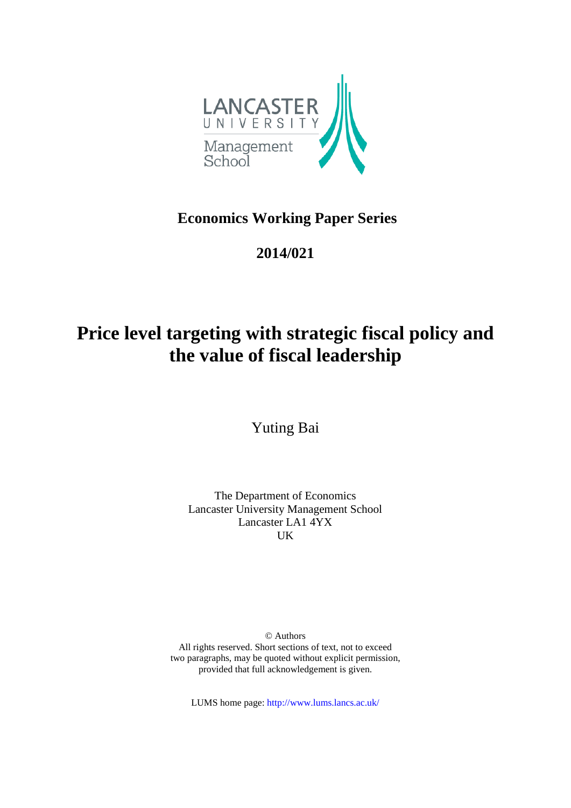

## **Economics Working Paper Series**

## **2014/021**

# **Price level targeting with strategic fiscal policy and the value of fiscal leadership**

Yuting Bai

The Department of Economics Lancaster University Management School Lancaster LA1 4YX UK

© Authors All rights reserved. Short sections of text, not to exceed two paragraphs, may be quoted without explicit permission, provided that full acknowledgement is given.

LUMS home page: http://www.lums.lancs.ac.uk/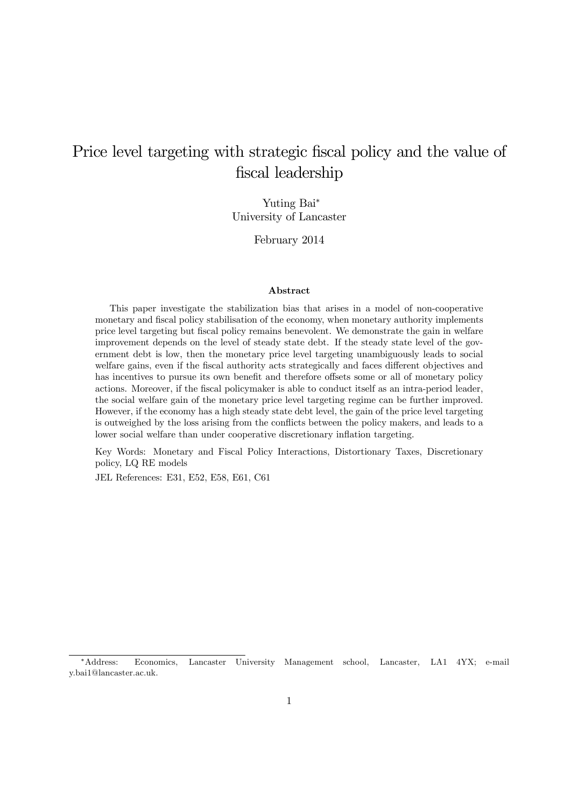## Price level targeting with strategic fiscal policy and the value of fiscal leadership

Yuting Bai<sup>∗</sup> University of Lancaster

February 2014

#### Abstract

This paper investigate the stabilization bias that arises in a model of non-cooperative monetary and fiscal policy stabilisation of the economy, when monetary authority implements price level targeting but fiscal policy remains benevolent. We demonstrate the gain in welfare improvement depends on the level of steady state debt. If the steady state level of the government debt is low, then the monetary price level targeting unambiguously leads to social welfare gains, even if the fiscal authority acts strategically and faces different objectives and has incentives to pursue its own benefit and therefore offsets some or all of monetary policy actions. Moreover, if the fiscal policymaker is able to conduct itself as an intra-period leader, the social welfare gain of the monetary price level targeting regime can be further improved. However, if the economy has a high steady state debt level, the gain of the price level targeting is outweighed by the loss arising from the conflicts between the policy makers, and leads to a lower social welfare than under cooperative discretionary inflation targeting.

Key Words: Monetary and Fiscal Policy Interactions, Distortionary Taxes, Discretionary policy, LQ RE models

JEL References: E31, E52, E58, E61, C61

<sup>∗</sup>Address: Economics, Lancaster University Management school, Lancaster, LA1 4YX; e-mail y.bai1@lancaster.ac.uk.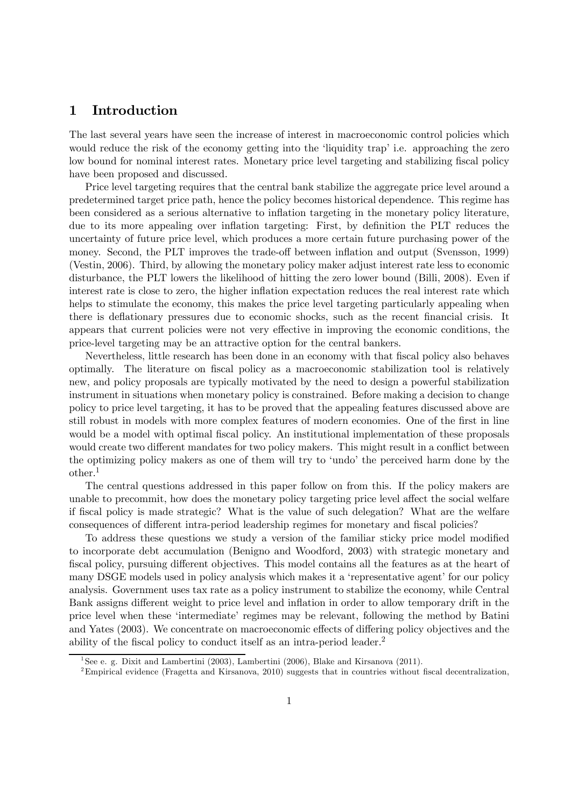## 1 Introduction

The last several years have seen the increase of interest in macroeconomic control policies which would reduce the risk of the economy getting into the 'liquidity trap' i.e. approaching the zero low bound for nominal interest rates. Monetary price level targeting and stabilizing fiscal policy have been proposed and discussed.

Price level targeting requires that the central bank stabilize the aggregate price level around a predetermined target price path, hence the policy becomes historical dependence. This regime has been considered as a serious alternative to inflation targeting in the monetary policy literature, due to its more appealing over inflation targeting: First, by definition the PLT reduces the uncertainty of future price level, which produces a more certain future purchasing power of the money. Second, the PLT improves the trade-off between inflation and output (Svensson, 1999) (Vestin, 2006). Third, by allowing the monetary policy maker adjust interest rate less to economic disturbance, the PLT lowers the likelihood of hitting the zero lower bound (Billi, 2008). Even if interest rate is close to zero, the higher inflation expectation reduces the real interest rate which helps to stimulate the economy, this makes the price level targeting particularly appealing when there is deflationary pressures due to economic shocks, such as the recent financial crisis. It appears that current policies were not very effective in improving the economic conditions, the price-level targeting may be an attractive option for the central bankers.

Nevertheless, little research has been done in an economy with that fiscal policy also behaves optimally. The literature on fiscal policy as a macroeconomic stabilization tool is relatively new, and policy proposals are typically motivated by the need to design a powerful stabilization instrument in situations when monetary policy is constrained. Before making a decision to change policy to price level targeting, it has to be proved that the appealing features discussed above are still robust in models with more complex features of modern economies. One of the first in line would be a model with optimal fiscal policy. An institutional implementation of these proposals would create two different mandates for two policy makers. This might result in a conflict between the optimizing policy makers as one of them will try to 'undo' the perceived harm done by the other.1

The central questions addressed in this paper follow on from this. If the policy makers are unable to precommit, how does the monetary policy targeting price level affect the social welfare if fiscal policy is made strategic? What is the value of such delegation? What are the welfare consequences of different intra-period leadership regimes for monetary and fiscal policies?

To address these questions we study a version of the familiar sticky price model modified to incorporate debt accumulation (Benigno and Woodford, 2003) with strategic monetary and fiscal policy, pursuing different objectives. This model contains all the features as at the heart of many DSGE models used in policy analysis which makes it a 'representative agent' for our policy analysis. Government uses tax rate as a policy instrument to stabilize the economy, while Central Bank assigns different weight to price level and inflation in order to allow temporary drift in the price level when these 'intermediate' regimes may be relevant, following the method by Batini and Yates (2003). We concentrate on macroeconomic effects of differing policy objectives and the ability of the fiscal policy to conduct itself as an intra-period leader.2

<sup>&</sup>lt;sup>1</sup>See e. g. Dixit and Lambertini (2003), Lambertini (2006), Blake and Kirsanova (2011).

<sup>2</sup>Empirical evidence (Fragetta and Kirsanova, 2010) suggests that in countries without fiscal decentralization,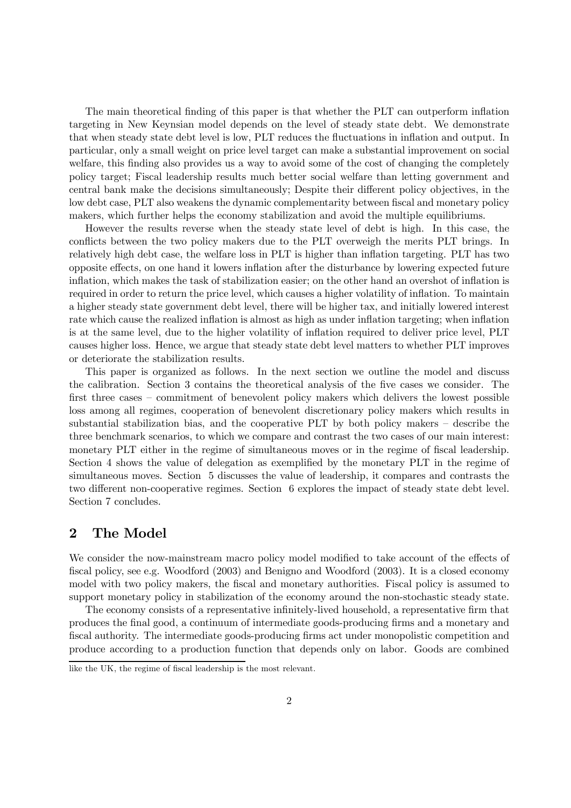The main theoretical finding of this paper is that whether the PLT can outperform inflation targeting in New Keynsian model depends on the level of steady state debt. We demonstrate that when steady state debt level is low, PLT reduces the fluctuations in inflation and output. In particular, only a small weight on price level target can make a substantial improvement on social welfare, this finding also provides us a way to avoid some of the cost of changing the completely policy target; Fiscal leadership results much better social welfare than letting government and central bank make the decisions simultaneously; Despite their different policy objectives, in the low debt case, PLT also weakens the dynamic complementarity between fiscal and monetary policy makers, which further helps the economy stabilization and avoid the multiple equilibriums.

However the results reverse when the steady state level of debt is high. In this case, the conflicts between the two policy makers due to the PLT overweigh the merits PLT brings. In relatively high debt case, the welfare loss in PLT is higher than inflation targeting. PLT has two opposite effects, on one hand it lowers inflation after the disturbance by lowering expected future inflation, which makes the task of stabilization easier; on the other hand an overshot of inflation is required in order to return the price level, which causes a higher volatility of inflation. To maintain a higher steady state government debt level, there will be higher tax, and initially lowered interest rate which cause the realized inflation is almost as high as under inflation targeting; when inflation is at the same level, due to the higher volatility of inflation required to deliver price level, PLT causes higher loss. Hence, we argue that steady state debt level matters to whether PLT improves or deteriorate the stabilization results.

This paper is organized as follows. In the next section we outline the model and discuss the calibration. Section 3 contains the theoretical analysis of the five cases we consider. The first three cases — commitment of benevolent policy makers which delivers the lowest possible loss among all regimes, cooperation of benevolent discretionary policy makers which results in substantial stabilization bias, and the cooperative PLT by both policy makers — describe the three benchmark scenarios, to which we compare and contrast the two cases of our main interest: monetary PLT either in the regime of simultaneous moves or in the regime of fiscal leadership. Section 4 shows the value of delegation as exemplified by the monetary PLT in the regime of simultaneous moves. Section 5 discusses the value of leadership, it compares and contrasts the two different non-cooperative regimes. Section 6 explores the impact of steady state debt level. Section 7 concludes.

## 2 The Model

We consider the now-mainstream macro policy model modified to take account of the effects of fiscal policy, see e.g. Woodford (2003) and Benigno and Woodford (2003). It is a closed economy model with two policy makers, the fiscal and monetary authorities. Fiscal policy is assumed to support monetary policy in stabilization of the economy around the non-stochastic steady state.

The economy consists of a representative infinitely-lived household, a representative firm that produces the final good, a continuum of intermediate goods-producing firms and a monetary and fiscal authority. The intermediate goods-producing firms act under monopolistic competition and produce according to a production function that depends only on labor. Goods are combined

like the UK, the regime of fiscal leadership is the most relevant.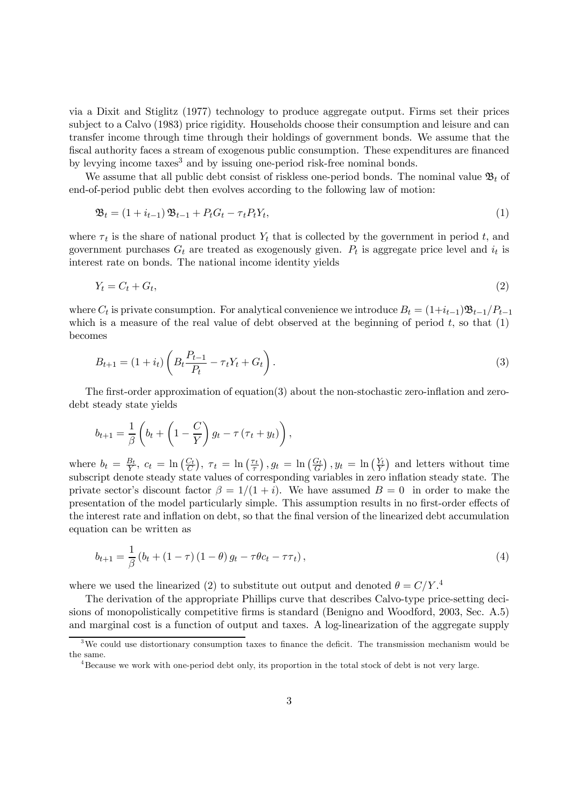via a Dixit and Stiglitz (1977) technology to produce aggregate output. Firms set their prices subject to a Calvo (1983) price rigidity. Households choose their consumption and leisure and can transfer income through time through their holdings of government bonds. We assume that the fiscal authority faces a stream of exogenous public consumption. These expenditures are financed by levying income taxes<sup>3</sup> and by issuing one-period risk-free nominal bonds.

We assume that all public debt consist of riskless one-period bonds. The nominal value  $\mathfrak{B}_t$  of end-of-period public debt then evolves according to the following law of motion:

$$
\mathfrak{B}_t = (1 + i_{t-1}) \mathfrak{B}_{t-1} + P_t G_t - \tau_t P_t Y_t, \tag{1}
$$

where  $\tau_t$  is the share of national product  $Y_t$  that is collected by the government in period t, and government purchases  $G_t$  are treated as exogenously given.  $P_t$  is aggregate price level and  $i_t$  is interest rate on bonds. The national income identity yields

$$
Y_t = C_t + G_t,\tag{2}
$$

where  $C_t$  is private consumption. For analytical convenience we introduce  $B_t = (1+i_{t-1})\mathfrak{B}_{t-1}/P_{t-1}$ which is a measure of the real value of debt observed at the beginning of period  $t$ , so that  $(1)$ becomes

$$
B_{t+1} = (1 + i_t) \left( B_t \frac{P_{t-1}}{P_t} - \tau_t Y_t + G_t \right). \tag{3}
$$

The first-order approximation of equation(3) about the non-stochastic zero-inflation and zerodebt steady state yields

$$
b_{t+1} = \frac{1}{\beta} \left( b_t + \left( 1 - \frac{C}{Y} \right) g_t - \tau \left( \tau_t + y_t \right) \right),
$$

where  $b_t = \frac{B_t}{Y}$ ,  $c_t = \ln\left(\frac{C_t}{C}\right)$ ,  $\tau_t = \ln\left(\frac{\tau_t}{\tau}\right)$ ,  $g_t = \ln\left(\frac{G_t}{G}\right)$ ,  $y_t = \ln\left(\frac{Y_t}{Y}\right)$  and letters without time subscript denote steady state values of corresponding variables in zero inflation steady state. The private sector's discount factor  $\beta = 1/(1+i)$ . We have assumed  $B=0$  in order to make the presentation of the model particularly simple. This assumption results in no first-order effects of the interest rate and inflation on debt, so that the final version of the linearized debt accumulation equation can be written as

$$
b_{t+1} = \frac{1}{\beta} (b_t + (1 - \tau) (1 - \theta) g_t - \tau \theta c_t - \tau \tau_t), \tag{4}
$$

where we used the linearized (2) to substitute out output and denoted  $\theta = C/Y$ .

The derivation of the appropriate Phillips curve that describes Calvo-type price-setting decisions of monopolistically competitive firms is standard (Benigno and Woodford, 2003, Sec. A.5) and marginal cost is a function of output and taxes. A log-linearization of the aggregate supply

<sup>&</sup>lt;sup>3</sup>We could use distortionary consumption taxes to finance the deficit. The transmission mechanism would be the same.

<sup>4</sup>Because we work with one-period debt only, its proportion in the total stock of debt is not very large.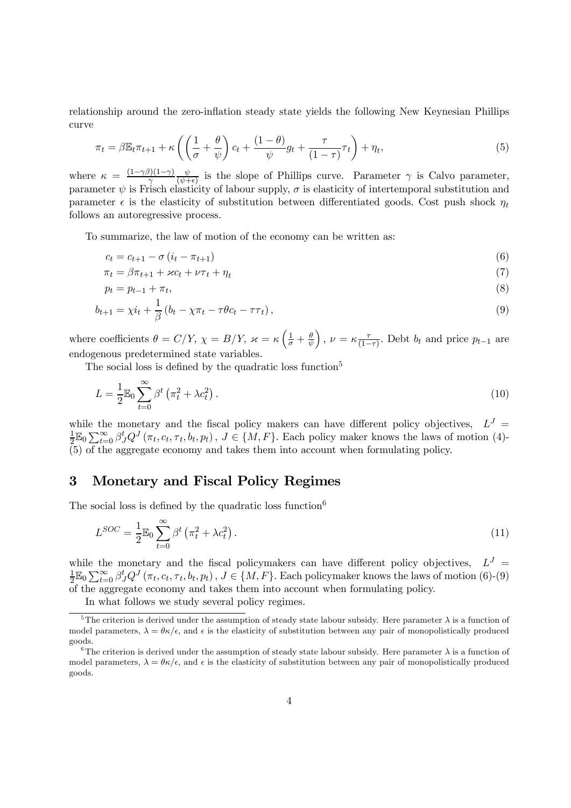relationship around the zero-inflation steady state yields the following New Keynesian Phillips curve

$$
\pi_t = \beta \mathbb{E}_t \pi_{t+1} + \kappa \left( \left( \frac{1}{\sigma} + \frac{\theta}{\psi} \right) c_t + \frac{(1-\theta)}{\psi} g_t + \frac{\tau}{(1-\tau)} \tau_t \right) + \eta_t,
$$
\n(5)

where  $\kappa = \frac{(1-\gamma\beta)(1-\gamma)}{\gamma}$  $\frac{\psi}{(\psi+\epsilon)}$  is the slope of Phillips curve. Parameter  $\gamma$  is Calvo parameter, parameter  $\psi$  is Frisch elasticity of labour supply,  $\sigma$  is elasticity of intertemporal substitution and parameter  $\epsilon$  is the elasticity of substitution between differentiated goods. Cost push shock  $\eta_t$ follows an autoregressive process.

To summarize, the law of motion of the economy can be written as:

$$
c_t = c_{t+1} - \sigma \left( i_t - \pi_{t+1} \right) \tag{6}
$$

$$
\pi_t = \beta \pi_{t+1} + \varkappa c_t + \nu \tau_t + \eta_t \tag{7}
$$

$$
p_t = p_{t-1} + \pi_t,\tag{8}
$$

$$
b_{t+1} = \chi i_t + \frac{1}{\beta} \left( b_t - \chi \pi_t - \tau \theta c_t - \tau \tau_t \right),\tag{9}
$$

where coefficients  $\theta = C/Y$ ,  $\chi = B/Y$ ,  $\varkappa = \kappa \left(\frac{1}{\sigma} + \frac{\theta}{\psi}\right)$ ),  $\nu = \kappa \frac{\tau}{(1-\tau)}$ . Debt  $b_t$  and price  $p_{t-1}$  are endogenous predetermined state variables.

The social loss is defined by the quadratic loss function<sup>5</sup>

$$
L = \frac{1}{2} \mathbb{E}_0 \sum_{t=0}^{\infty} \beta^t \left( \pi_t^2 + \lambda c_t^2 \right). \tag{10}
$$

while the monetary and the fiscal policy makers can have different policy objectives,  $L^J =$  $\frac{1}{2}\mathbb{E}_0\sum_{t=0}^{\infty}\beta_J^tQ^J(\pi_t,c_t,\tau_t,b_t,p_t),\ J\in\{M,F\}$ . Each policy maker knows the laws of motion (4)-(5) of the aggregate economy and takes them into account when formulating policy.

## 3 Monetary and Fiscal Policy Regimes

The social loss is defined by the quadratic loss function  $6$ 

$$
L^{SOC} = \frac{1}{2} \mathbb{E}_0 \sum_{t=0}^{\infty} \beta^t \left( \pi_t^2 + \lambda c_t^2 \right). \tag{11}
$$

while the monetary and the fiscal policymakers can have different policy objectives,  $L^J =$  $\frac{1}{2}\mathbb{E}_0 \sum_{t=0}^{\infty} \beta_J^t Q^J(\pi_t, c_t, \tau_t, b_t, p_t), J \in \{M, F\}$ . Each policymaker knows the laws of motion (6)-(9)  $\sum_{k=0}^{\infty}$  of the aggregate economy and takes them into account when formulating policy.

In what follows we study several policy regimes.

<sup>&</sup>lt;sup>5</sup>The criterion is derived under the assumption of steady state labour subsidy. Here parameter  $\lambda$  is a function of model parameters,  $\lambda = \theta \kappa / \epsilon$ , and  $\epsilon$  is the elasticity of substitution between any pair of monopolistically produced goods.

<sup>&</sup>lt;sup>6</sup>The criterion is derived under the assumption of steady state labour subsidy. Here parameter  $\lambda$  is a function of model parameters,  $\lambda = \theta \kappa / \epsilon$ , and  $\epsilon$  is the elasticity of substitution between any pair of monopolistically produced goods.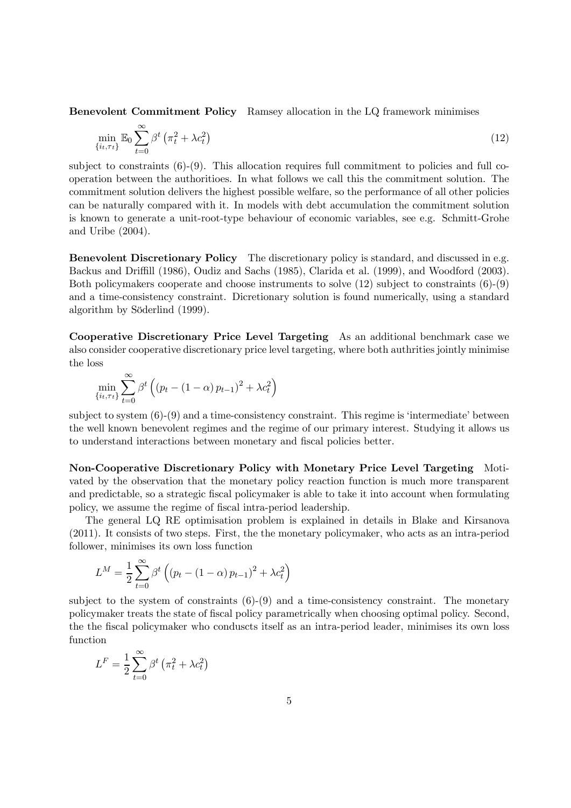Benevolent Commitment Policy Ramsey allocation in the LQ framework minimises

$$
\min_{\{i_t, \tau_t\}} \mathbb{E}_0 \sum_{t=0}^{\infty} \beta^t \left(\pi_t^2 + \lambda c_t^2\right) \tag{12}
$$

subject to constraints  $(6)-(9)$ . This allocation requires full commitment to policies and full cooperation between the authoritioes. In what follows we call this the commitment solution. The commitment solution delivers the highest possible welfare, so the performance of all other policies can be naturally compared with it. In models with debt accumulation the commitment solution is known to generate a unit-root-type behaviour of economic variables, see e.g. Schmitt-Grohe and Uribe (2004).

Benevolent Discretionary Policy The discretionary policy is standard, and discussed in e.g. Backus and Driffill (1986), Oudiz and Sachs (1985), Clarida et al. (1999), and Woodford (2003). Both policymakers cooperate and choose instruments to solve (12) subject to constraints (6)-(9) and a time-consistency constraint. Dicretionary solution is found numerically, using a standard algorithm by Söderlind (1999).

Cooperative Discretionary Price Level Targeting As an additional benchmark case we also consider cooperative discretionary price level targeting, where both authrities jointly minimise the loss

$$
\min_{\{i_t, \tau_t\}} \sum_{t=0}^{\infty} \beta^t \left( \left(p_t - (1 - \alpha) p_{t-1}\right)^2 + \lambda c_t^2\right)
$$

subject to system  $(6)-(9)$  and a time-consistency constraint. This regime is 'intermediate' between the well known benevolent regimes and the regime of our primary interest. Studying it allows us to understand interactions between monetary and fiscal policies better.

Non-Cooperative Discretionary Policy with Monetary Price Level Targeting Motivated by the observation that the monetary policy reaction function is much more transparent and predictable, so a strategic fiscal policymaker is able to take it into account when formulating policy, we assume the regime of fiscal intra-period leadership.

The general LQ RE optimisation problem is explained in details in Blake and Kirsanova (2011). It consists of two steps. First, the the monetary policymaker, who acts as an intra-period follower, minimises its own loss function

$$
L^{M} = \frac{1}{2} \sum_{t=0}^{\infty} \beta^{t} \left( (p_{t} - (1 - \alpha) p_{t-1})^{2} + \lambda c_{t}^{2} \right)
$$

subject to the system of constraints  $(6)-(9)$  and a time-consistency constraint. The monetary policymaker treats the state of fiscal policy parametrically when choosing optimal policy. Second, the the fiscal policymaker who conduscts itself as an intra-period leader, minimises its own loss function

$$
L^{F} = \frac{1}{2} \sum_{t=0}^{\infty} \beta^{t} \left( \pi_{t}^{2} + \lambda c_{t}^{2} \right)
$$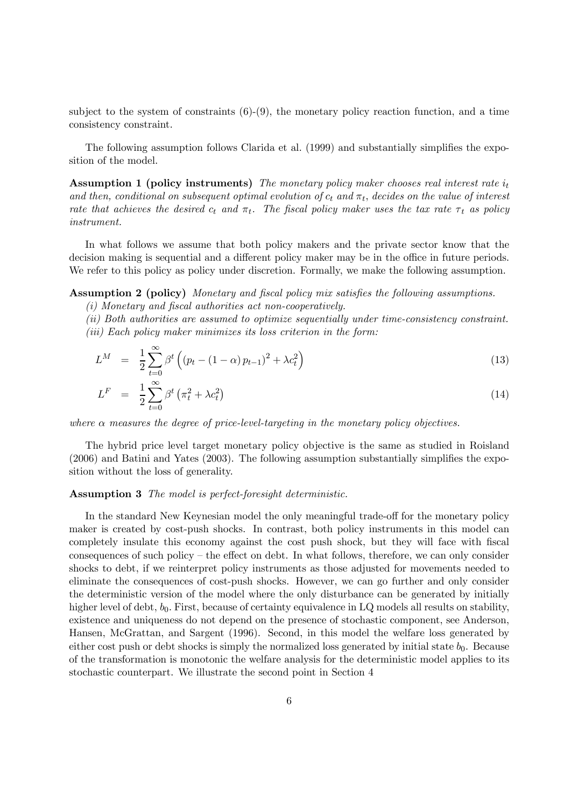subject to the system of constraints  $(6)-(9)$ , the monetary policy reaction function, and a time consistency constraint.

The following assumption follows Clarida et al. (1999) and substantially simplifies the exposition of the model.

Assumption 1 (policy instruments) The monetary policy maker chooses real interest rate  $i_t$ and then, conditional on subsequent optimal evolution of  $c_t$  and  $\pi_t$ , decides on the value of interest rate that achieves the desired  $c_t$  and  $\pi_t$ . The fiscal policy maker uses the tax rate  $\tau_t$  as policy instrument.

In what follows we assume that both policy makers and the private sector know that the decision making is sequential and a different policy maker may be in the office in future periods. We refer to this policy as policy under discretion. Formally, we make the following assumption.

Assumption 2 (policy) Monetary and fiscal policy mix satisfies the following assumptions.

(i) Monetary and fiscal authorities act non-cooperatively.

(ii) Both authorities are assumed to optimize sequentially under time-consistency constraint.

(iii) Each policy maker minimizes its loss criterion in the form:

$$
L^M = \frac{1}{2} \sum_{t=0}^{\infty} \beta^t \left( (p_t - (1 - \alpha) p_{t-1})^2 + \lambda c_t^2 \right)
$$
 (13)

$$
L^F = \frac{1}{2} \sum_{t=0}^{\infty} \beta^t \left( \pi_t^2 + \lambda c_t^2 \right) \tag{14}
$$

where  $\alpha$  measures the degree of price-level-targeting in the monetary policy objectives.

The hybrid price level target monetary policy objective is the same as studied in Roisland (2006) and Batini and Yates (2003). The following assumption substantially simplifies the exposition without the loss of generality.

#### Assumption 3 The model is perfect-foresight deterministic.

In the standard New Keynesian model the only meaningful trade-off for the monetary policy maker is created by cost-push shocks. In contrast, both policy instruments in this model can completely insulate this economy against the cost push shock, but they will face with fiscal consequences of such policy — the effect on debt. In what follows, therefore, we can only consider shocks to debt, if we reinterpret policy instruments as those adjusted for movements needed to eliminate the consequences of cost-push shocks. However, we can go further and only consider the deterministic version of the model where the only disturbance can be generated by initially higher level of debt,  $b_0$ . First, because of certainty equivalence in LQ models all results on stability, existence and uniqueness do not depend on the presence of stochastic component, see Anderson, Hansen, McGrattan, and Sargent (1996). Second, in this model the welfare loss generated by either cost push or debt shocks is simply the normalized loss generated by initial state  $b_0$ . Because of the transformation is monotonic the welfare analysis for the deterministic model applies to its stochastic counterpart. We illustrate the second point in Section 4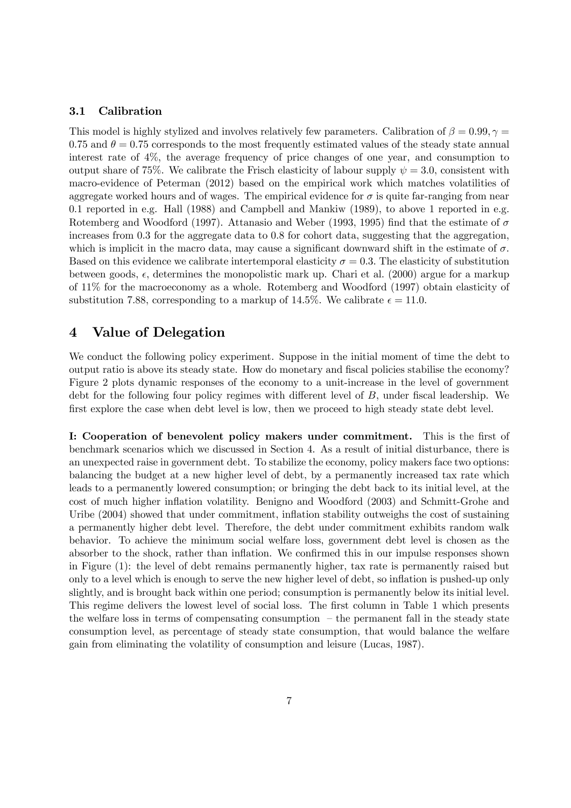#### 3.1 Calibration

This model is highly stylized and involves relatively few parameters. Calibration of  $\beta = 0.99, \gamma = 0.09$ 0.75 and  $\theta = 0.75$  corresponds to the most frequently estimated values of the steady state annual interest rate of 4%, the average frequency of price changes of one year, and consumption to output share of 75%. We calibrate the Frisch elasticity of labour supply  $\psi = 3.0$ , consistent with macro-evidence of Peterman (2012) based on the empirical work which matches volatilities of aggregate worked hours and of wages. The empirical evidence for  $\sigma$  is quite far-ranging from near 0.1 reported in e.g. Hall (1988) and Campbell and Mankiw (1989), to above 1 reported in e.g. Rotemberg and Woodford (1997). Attanasio and Weber (1993, 1995) find that the estimate of  $\sigma$ increases from 0.3 for the aggregate data to 0.8 for cohort data, suggesting that the aggregation, which is implicit in the macro data, may cause a significant downward shift in the estimate of  $\sigma$ . Based on this evidence we calibrate intertemporal elasticity  $\sigma = 0.3$ . The elasticity of substitution between goods,  $\epsilon$ , determines the monopolistic mark up. Chari et al. (2000) argue for a markup of 11% for the macroeconomy as a whole. Rotemberg and Woodford (1997) obtain elasticity of substitution 7.88, corresponding to a markup of 14.5%. We calibrate  $\epsilon = 11.0$ .

## 4 Value of Delegation

We conduct the following policy experiment. Suppose in the initial moment of time the debt to output ratio is above its steady state. How do monetary and fiscal policies stabilise the economy? Figure 2 plots dynamic responses of the economy to a unit-increase in the level of government debt for the following four policy regimes with different level of  $B$ , under fiscal leadership. We first explore the case when debt level is low, then we proceed to high steady state debt level.

I: Cooperation of benevolent policy makers under commitment. This is the first of benchmark scenarios which we discussed in Section 4. As a result of initial disturbance, there is an unexpected raise in government debt. To stabilize the economy, policy makers face two options: balancing the budget at a new higher level of debt, by a permanently increased tax rate which leads to a permanently lowered consumption; or bringing the debt back to its initial level, at the cost of much higher inflation volatility. Benigno and Woodford (2003) and Schmitt-Grohe and Uribe (2004) showed that under commitment, inflation stability outweighs the cost of sustaining a permanently higher debt level. Therefore, the debt under commitment exhibits random walk behavior. To achieve the minimum social welfare loss, government debt level is chosen as the absorber to the shock, rather than inflation. We confirmed this in our impulse responses shown in Figure (1): the level of debt remains permanently higher, tax rate is permanently raised but only to a level which is enough to serve the new higher level of debt, so inflation is pushed-up only slightly, and is brought back within one period; consumption is permanently below its initial level. This regime delivers the lowest level of social loss. The first column in Table 1 which presents the welfare loss in terms of compensating consumption  $-$  the permanent fall in the steady state consumption level, as percentage of steady state consumption, that would balance the welfare gain from eliminating the volatility of consumption and leisure (Lucas, 1987).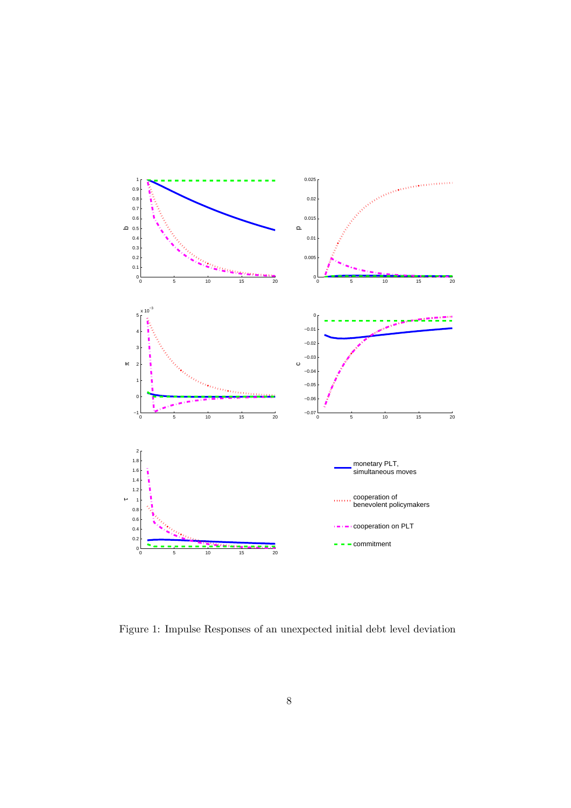

Figure 1: Impulse Responses of an unexpected initial debt level deviation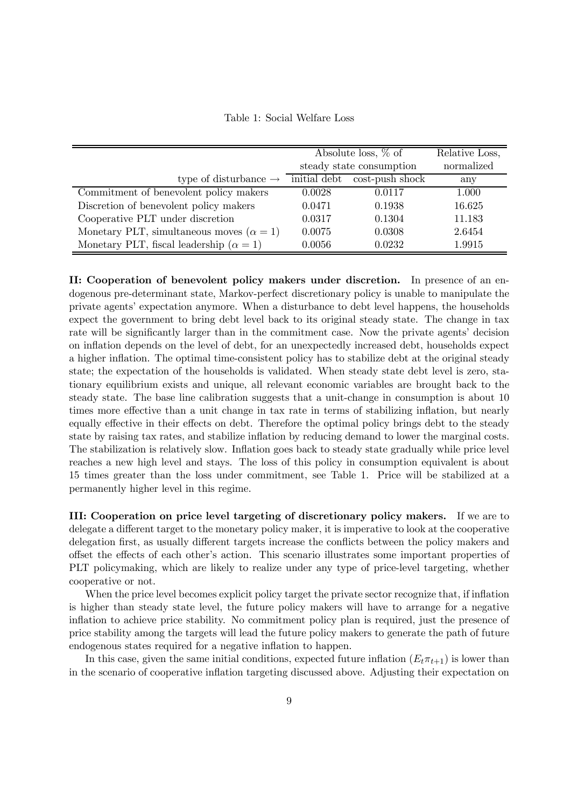Table 1: Social Welfare Loss

|                                                  | Absolute loss, $\%$ of   |                 | Relative Loss, |
|--------------------------------------------------|--------------------------|-----------------|----------------|
|                                                  | steady state consumption |                 | normalized     |
| type of disturbance $\rightarrow$                | initial debt             | cost-push shock | any            |
| Commitment of benevolent policy makers           | 0.0028                   | 0.0117          | 1.000          |
| Discretion of benevolent policy makers           | 0.0471                   | 0.1938          | 16.625         |
| Cooperative PLT under discretion                 | 0.0317                   | 0.1304          | 11.183         |
| Monetary PLT, simultaneous moves $(\alpha = 1)$  | 0.0075                   | 0.0308          | 2.6454         |
| Monetary PLT, fiscal leadership ( $\alpha = 1$ ) | 0.0056                   | 0.0232          | 1.9915         |

II: Cooperation of benevolent policy makers under discretion. In presence of an endogenous pre-determinant state, Markov-perfect discretionary policy is unable to manipulate the private agents' expectation anymore. When a disturbance to debt level happens, the households expect the government to bring debt level back to its original steady state. The change in tax rate will be significantly larger than in the commitment case. Now the private agents' decision on inflation depends on the level of debt, for an unexpectedly increased debt, households expect a higher inflation. The optimal time-consistent policy has to stabilize debt at the original steady state; the expectation of the households is validated. When steady state debt level is zero, stationary equilibrium exists and unique, all relevant economic variables are brought back to the steady state. The base line calibration suggests that a unit-change in consumption is about 10 times more effective than a unit change in tax rate in terms of stabilizing inflation, but nearly equally effective in their effects on debt. Therefore the optimal policy brings debt to the steady state by raising tax rates, and stabilize inflation by reducing demand to lower the marginal costs. The stabilization is relatively slow. Inflation goes back to steady state gradually while price level reaches a new high level and stays. The loss of this policy in consumption equivalent is about 15 times greater than the loss under commitment, see Table 1. Price will be stabilized at a permanently higher level in this regime.

III: Cooperation on price level targeting of discretionary policy makers. If we are to delegate a different target to the monetary policy maker, it is imperative to look at the cooperative delegation first, as usually different targets increase the conflicts between the policy makers and offset the effects of each other's action. This scenario illustrates some important properties of PLT policymaking, which are likely to realize under any type of price-level targeting, whether cooperative or not.

When the price level becomes explicit policy target the private sector recognize that, if inflation is higher than steady state level, the future policy makers will have to arrange for a negative inflation to achieve price stability. No commitment policy plan is required, just the presence of price stability among the targets will lead the future policy makers to generate the path of future endogenous states required for a negative inflation to happen.

In this case, given the same initial conditions, expected future inflation  $(E_t \pi_{t+1})$  is lower than in the scenario of cooperative inflation targeting discussed above. Adjusting their expectation on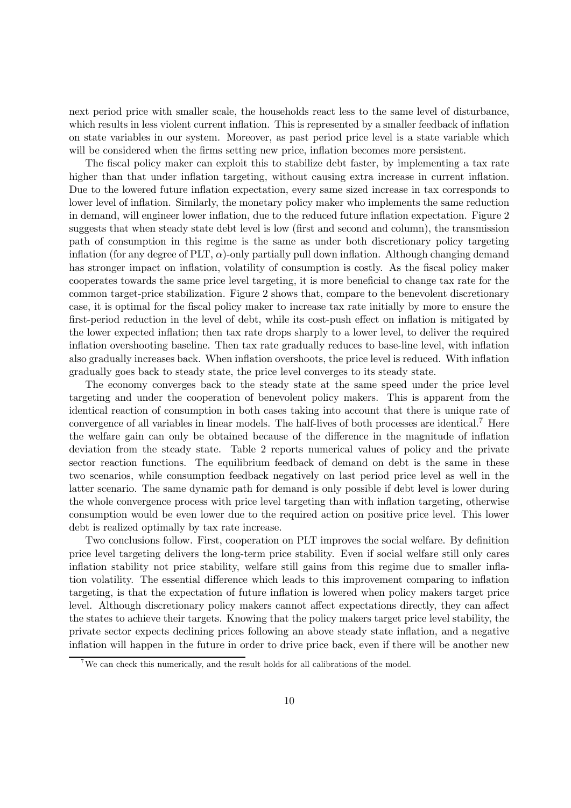next period price with smaller scale, the households react less to the same level of disturbance, which results in less violent current inflation. This is represented by a smaller feedback of inflation on state variables in our system. Moreover, as past period price level is a state variable which will be considered when the firms setting new price, inflation becomes more persistent.

The fiscal policy maker can exploit this to stabilize debt faster, by implementing a tax rate higher than that under inflation targeting, without causing extra increase in current inflation. Due to the lowered future inflation expectation, every same sized increase in tax corresponds to lower level of inflation. Similarly, the monetary policy maker who implements the same reduction in demand, will engineer lower inflation, due to the reduced future inflation expectation. Figure 2 suggests that when steady state debt level is low (first and second and column), the transmission path of consumption in this regime is the same as under both discretionary policy targeting inflation (for any degree of PLT,  $\alpha$ )-only partially pull down inflation. Although changing demand has stronger impact on inflation, volatility of consumption is costly. As the fiscal policy maker cooperates towards the same price level targeting, it is more beneficial to change tax rate for the common target-price stabilization. Figure 2 shows that, compare to the benevolent discretionary case, it is optimal for the fiscal policy maker to increase tax rate initially by more to ensure the first-period reduction in the level of debt, while its cost-push effect on inflation is mitigated by the lower expected inflation; then tax rate drops sharply to a lower level, to deliver the required inflation overshooting baseline. Then tax rate gradually reduces to base-line level, with inflation also gradually increases back. When inflation overshoots, the price level is reduced. With inflation gradually goes back to steady state, the price level converges to its steady state.

The economy converges back to the steady state at the same speed under the price level targeting and under the cooperation of benevolent policy makers. This is apparent from the identical reaction of consumption in both cases taking into account that there is unique rate of convergence of all variables in linear models. The half-lives of both processes are identical.7 Here the welfare gain can only be obtained because of the difference in the magnitude of inflation deviation from the steady state. Table 2 reports numerical values of policy and the private sector reaction functions. The equilibrium feedback of demand on debt is the same in these two scenarios, while consumption feedback negatively on last period price level as well in the latter scenario. The same dynamic path for demand is only possible if debt level is lower during the whole convergence process with price level targeting than with inflation targeting, otherwise consumption would be even lower due to the required action on positive price level. This lower debt is realized optimally by tax rate increase.

Two conclusions follow. First, cooperation on PLT improves the social welfare. By definition price level targeting delivers the long-term price stability. Even if social welfare still only cares inflation stability not price stability, welfare still gains from this regime due to smaller inflation volatility. The essential difference which leads to this improvement comparing to inflation targeting, is that the expectation of future inflation is lowered when policy makers target price level. Although discretionary policy makers cannot affect expectations directly, they can affect the states to achieve their targets. Knowing that the policy makers target price level stability, the private sector expects declining prices following an above steady state inflation, and a negative inflation will happen in the future in order to drive price back, even if there will be another new

<sup>&</sup>lt;sup>7</sup>We can check this numerically, and the result holds for all calibrations of the model.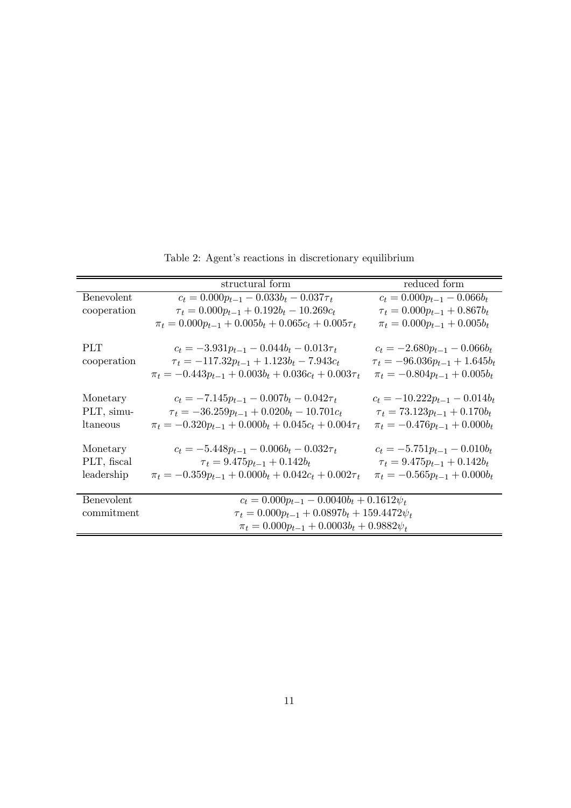| structural form                                                 | reduced form                         |  |
|-----------------------------------------------------------------|--------------------------------------|--|
| $c_t = 0.000 p_{t-1} - 0.033 b_t - 0.037 \tau_t$                | $c_t = 0.000 p_{t-1} - 0.066 b_t$    |  |
| $\tau_t = 0.000 p_{t-1} + 0.192 b_t - 10.269 c_t$               | $\tau_t = 0.000 p_{t-1} + 0.867 b_t$ |  |
| $\pi_t = 0.000 p_{t-1} + 0.005 b_t + 0.065 c_t + 0.005 \tau_t$  | $\pi_t = 0.000 p_{t-1} + 0.005 b_t$  |  |
|                                                                 |                                      |  |
| $c_t = -3.931 p_{t-1} - 0.044 b_t - 0.013 \tau_t$               | $c_t = -2.680p_{t-1} - 0.066b_t$     |  |
| $\tau_t = -117.32p_{t-1} + 1.123b_t - 7.943c_t$                 | $\tau_t = -96.036p_{t-1} + 1.645b_t$ |  |
| $\pi_t = -0.443p_{t-1} + 0.003b_t + 0.036c_t + 0.003\tau_t$     | $\pi_t = -0.804 p_{t-1} + 0.005 b_t$ |  |
|                                                                 |                                      |  |
| $c_t = -7.145p_{t-1} - 0.007b_t - 0.042\tau_t$                  | $c_t = -10.222p_{t-1} - 0.014b_t$    |  |
| $\tau_t = -36.259 p_{t-1} + 0.020 b_t - 10.701 c_t$             | $\tau_t = 73.123p_{t-1} + 0.170b_t$  |  |
| $\pi_t = -0.320 p_{t-1} + 0.000 b_t + 0.045 c_t + 0.004 \tau_t$ | $\pi_t = -0.476p_{t-1} + 0.000b_t$   |  |
|                                                                 |                                      |  |
| $c_t = -5.448p_{t-1} - 0.006b_t - 0.032\tau_t$                  | $c_t = -5.751p_{t-1} - 0.010b_t$     |  |
| $\tau_t = 9.475p_{t-1} + 0.142b_t$                              | $\tau_t = 9.475p_{t-1} + 0.142b_t$   |  |
| $\pi_t = -0.359p_{t-1} + 0.000b_t + 0.042c_t + 0.002\tau_t$     | $\pi_t = -0.565 p_{t-1} + 0.000 b_t$ |  |
|                                                                 |                                      |  |
| $c_t = 0.000 p_{t-1} - 0.0040 b_t + 0.1612 \psi_t$              |                                      |  |
| $\tau_t = 0.000 p_{t-1} + 0.0897 b_t + 159.4472 \psi_t$         |                                      |  |
| $\pi_t = 0.000 p_{t-1} + 0.0003 b_t + 0.9882 \psi_t$            |                                      |  |
|                                                                 |                                      |  |

Table 2: Agent's reactions in discretionary equilibrium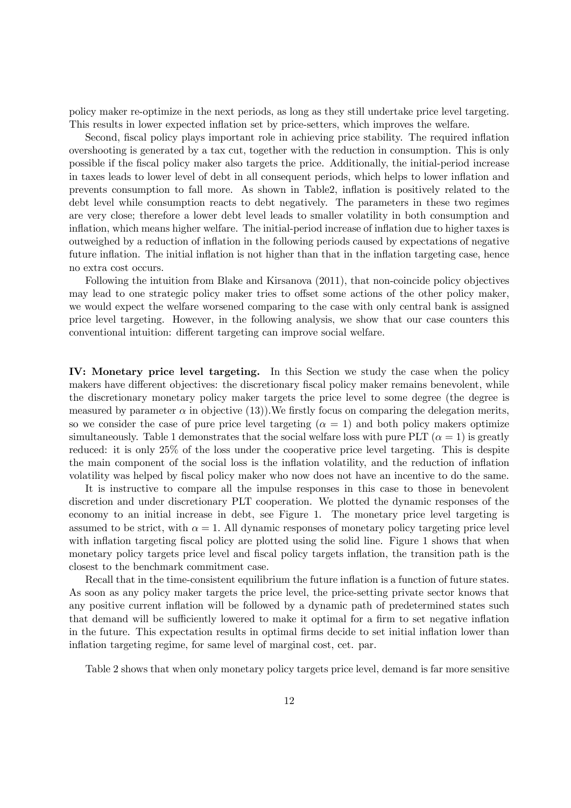policy maker re-optimize in the next periods, as long as they still undertake price level targeting. This results in lower expected inflation set by price-setters, which improves the welfare.

Second, fiscal policy plays important role in achieving price stability. The required inflation overshooting is generated by a tax cut, together with the reduction in consumption. This is only possible if the fiscal policy maker also targets the price. Additionally, the initial-period increase in taxes leads to lower level of debt in all consequent periods, which helps to lower inflation and prevents consumption to fall more. As shown in Table2, inflation is positively related to the debt level while consumption reacts to debt negatively. The parameters in these two regimes are very close; therefore a lower debt level leads to smaller volatility in both consumption and inflation, which means higher welfare. The initial-period increase of inflation due to higher taxes is outweighed by a reduction of inflation in the following periods caused by expectations of negative future inflation. The initial inflation is not higher than that in the inflation targeting case, hence no extra cost occurs.

Following the intuition from Blake and Kirsanova (2011), that non-coincide policy objectives may lead to one strategic policy maker tries to offset some actions of the other policy maker, we would expect the welfare worsened comparing to the case with only central bank is assigned price level targeting. However, in the following analysis, we show that our case counters this conventional intuition: different targeting can improve social welfare.

IV: Monetary price level targeting. In this Section we study the case when the policy makers have different objectives: the discretionary fiscal policy maker remains benevolent, while the discretionary monetary policy maker targets the price level to some degree (the degree is measured by parameter  $\alpha$  in objective (13)). We firstly focus on comparing the delegation merits, so we consider the case of pure price level targeting  $(\alpha = 1)$  and both policy makers optimize simultaneously. Table 1 demonstrates that the social welfare loss with pure PLT  $(\alpha = 1)$  is greatly reduced: it is only 25% of the loss under the cooperative price level targeting. This is despite the main component of the social loss is the inflation volatility, and the reduction of inflation volatility was helped by fiscal policy maker who now does not have an incentive to do the same.

It is instructive to compare all the impulse responses in this case to those in benevolent discretion and under discretionary PLT cooperation. We plotted the dynamic responses of the economy to an initial increase in debt, see Figure 1. The monetary price level targeting is assumed to be strict, with  $\alpha = 1$ . All dynamic responses of monetary policy targeting price level with inflation targeting fiscal policy are plotted using the solid line. Figure 1 shows that when monetary policy targets price level and fiscal policy targets inflation, the transition path is the closest to the benchmark commitment case.

Recall that in the time-consistent equilibrium the future inflation is a function of future states. As soon as any policy maker targets the price level, the price-setting private sector knows that any positive current inflation will be followed by a dynamic path of predetermined states such that demand will be sufficiently lowered to make it optimal for a firm to set negative inflation in the future. This expectation results in optimal firms decide to set initial inflation lower than inflation targeting regime, for same level of marginal cost, cet. par.

Table 2 shows that when only monetary policy targets price level, demand is far more sensitive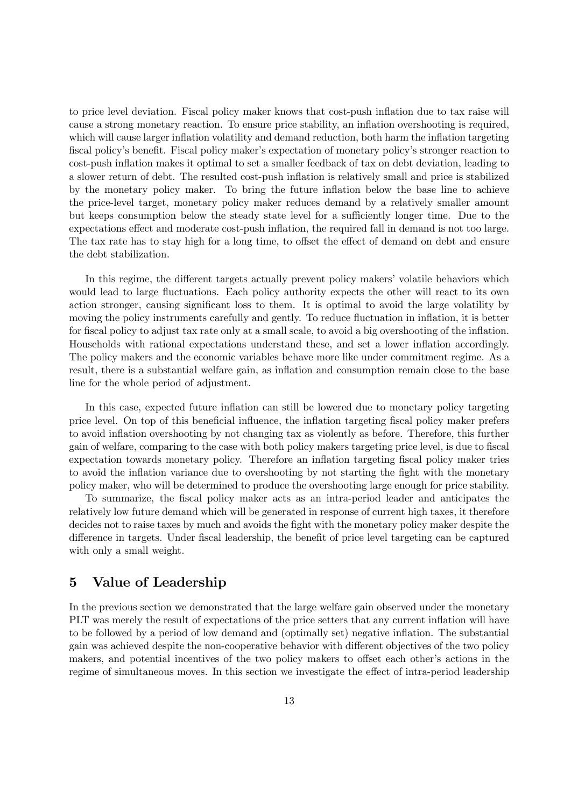to price level deviation. Fiscal policy maker knows that cost-push inflation due to tax raise will cause a strong monetary reaction. To ensure price stability, an inflation overshooting is required, which will cause larger inflation volatility and demand reduction, both harm the inflation targeting fiscal policy's benefit. Fiscal policy maker's expectation of monetary policy's stronger reaction to cost-push inflation makes it optimal to set a smaller feedback of tax on debt deviation, leading to a slower return of debt. The resulted cost-push inflation is relatively small and price is stabilized by the monetary policy maker. To bring the future inflation below the base line to achieve the price-level target, monetary policy maker reduces demand by a relatively smaller amount but keeps consumption below the steady state level for a sufficiently longer time. Due to the expectations effect and moderate cost-push inflation, the required fall in demand is not too large. The tax rate has to stay high for a long time, to offset the effect of demand on debt and ensure the debt stabilization.

In this regime, the different targets actually prevent policy makers' volatile behaviors which would lead to large fluctuations. Each policy authority expects the other will react to its own action stronger, causing significant loss to them. It is optimal to avoid the large volatility by moving the policy instruments carefully and gently. To reduce fluctuation in inflation, it is better for fiscal policy to adjust tax rate only at a small scale, to avoid a big overshooting of the inflation. Households with rational expectations understand these, and set a lower inflation accordingly. The policy makers and the economic variables behave more like under commitment regime. As a result, there is a substantial welfare gain, as inflation and consumption remain close to the base line for the whole period of adjustment.

In this case, expected future inflation can still be lowered due to monetary policy targeting price level. On top of this beneficial influence, the inflation targeting fiscal policy maker prefers to avoid inflation overshooting by not changing tax as violently as before. Therefore, this further gain of welfare, comparing to the case with both policy makers targeting price level, is due to fiscal expectation towards monetary policy. Therefore an inflation targeting fiscal policy maker tries to avoid the inflation variance due to overshooting by not starting the fight with the monetary policy maker, who will be determined to produce the overshooting large enough for price stability.

To summarize, the fiscal policy maker acts as an intra-period leader and anticipates the relatively low future demand which will be generated in response of current high taxes, it therefore decides not to raise taxes by much and avoids the fight with the monetary policy maker despite the difference in targets. Under fiscal leadership, the benefit of price level targeting can be captured with only a small weight.

## 5 Value of Leadership

In the previous section we demonstrated that the large welfare gain observed under the monetary PLT was merely the result of expectations of the price setters that any current inflation will have to be followed by a period of low demand and (optimally set) negative inflation. The substantial gain was achieved despite the non-cooperative behavior with different objectives of the two policy makers, and potential incentives of the two policy makers to offset each other's actions in the regime of simultaneous moves. In this section we investigate the effect of intra-period leadership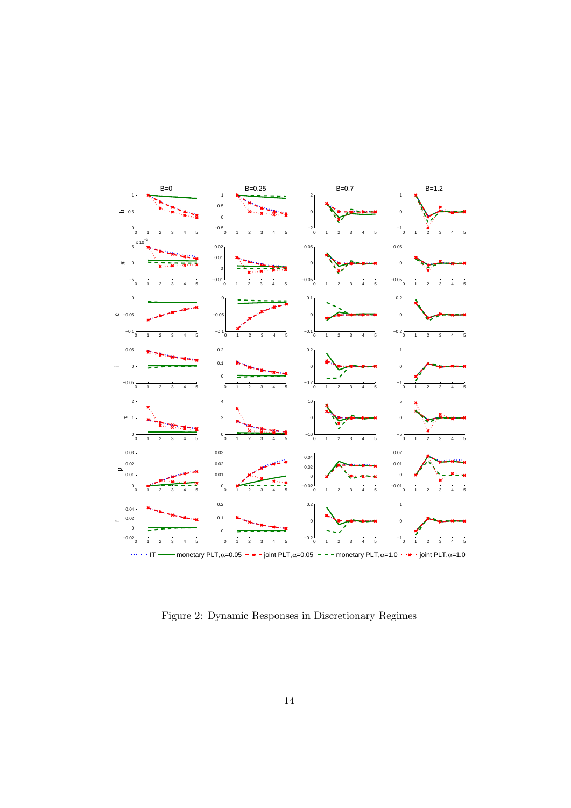

Figure 2: Dynamic Responses in Discretionary Regimes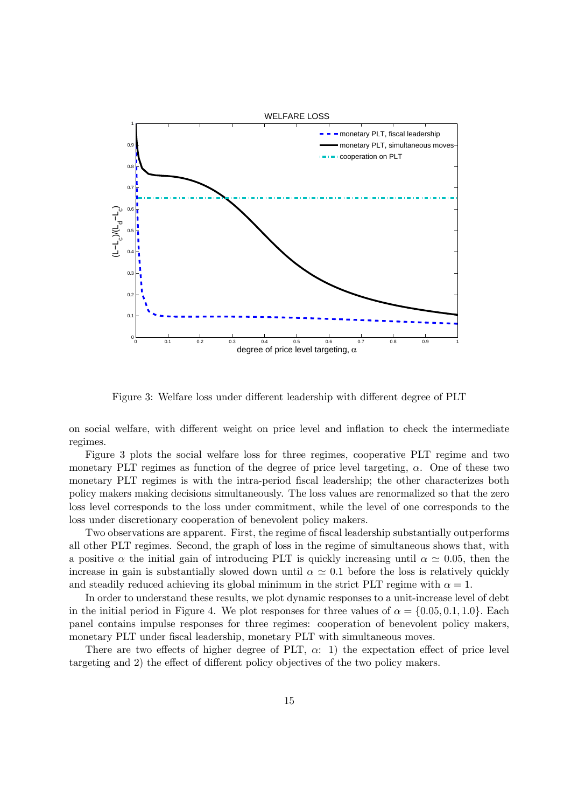

Figure 3: Welfare loss under different leadership with different degree of PLT

on social welfare, with different weight on price level and inflation to check the intermediate regimes.

Figure 3 plots the social welfare loss for three regimes, cooperative PLT regime and two monetary PLT regimes as function of the degree of price level targeting,  $\alpha$ . One of these two monetary PLT regimes is with the intra-period fiscal leadership; the other characterizes both policy makers making decisions simultaneously. The loss values are renormalized so that the zero loss level corresponds to the loss under commitment, while the level of one corresponds to the loss under discretionary cooperation of benevolent policy makers.

Two observations are apparent. First, the regime of fiscal leadership substantially outperforms all other PLT regimes. Second, the graph of loss in the regime of simultaneous shows that, with a positive  $\alpha$  the initial gain of introducing PLT is quickly increasing until  $\alpha \simeq 0.05$ , then the increase in gain is substantially slowed down until  $\alpha \simeq 0.1$  before the loss is relatively quickly and steadily reduced achieving its global minimum in the strict PLT regime with  $\alpha = 1$ .

In order to understand these results, we plot dynamic responses to a unit-increase level of debt in the initial period in Figure 4. We plot responses for three values of  $\alpha = \{0.05, 0.1, 1.0\}$ . Each panel contains impulse responses for three regimes: cooperation of benevolent policy makers, monetary PLT under fiscal leadership, monetary PLT with simultaneous moves.

There are two effects of higher degree of PLT,  $\alpha$ : 1) the expectation effect of price level targeting and 2) the effect of different policy objectives of the two policy makers.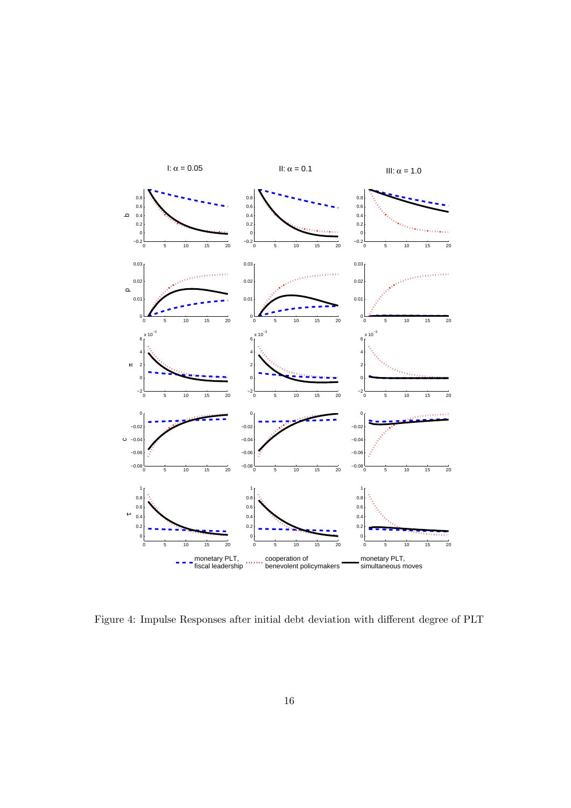

Figure 4: Impulse Responses after initial debt deviation with different degree of PLT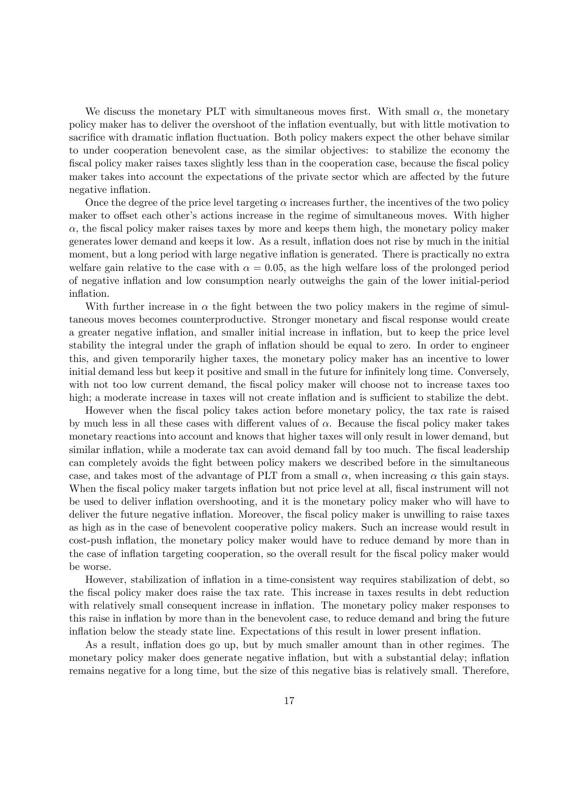We discuss the monetary PLT with simultaneous moves first. With small  $\alpha$ , the monetary policy maker has to deliver the overshoot of the inflation eventually, but with little motivation to sacrifice with dramatic inflation fluctuation. Both policy makers expect the other behave similar to under cooperation benevolent case, as the similar objectives: to stabilize the economy the fiscal policy maker raises taxes slightly less than in the cooperation case, because the fiscal policy maker takes into account the expectations of the private sector which are affected by the future negative inflation.

Once the degree of the price level targeting  $\alpha$  increases further, the incentives of the two policy maker to offset each other's actions increase in the regime of simultaneous moves. With higher  $\alpha$ , the fiscal policy maker raises taxes by more and keeps them high, the monetary policy maker generates lower demand and keeps it low. As a result, inflation does not rise by much in the initial moment, but a long period with large negative inflation is generated. There is practically no extra welfare gain relative to the case with  $\alpha = 0.05$ , as the high welfare loss of the prolonged period of negative inflation and low consumption nearly outweighs the gain of the lower initial-period inflation.

With further increase in  $\alpha$  the fight between the two policy makers in the regime of simultaneous moves becomes counterproductive. Stronger monetary and fiscal response would create a greater negative inflation, and smaller initial increase in inflation, but to keep the price level stability the integral under the graph of inflation should be equal to zero. In order to engineer this, and given temporarily higher taxes, the monetary policy maker has an incentive to lower initial demand less but keep it positive and small in the future for infinitely long time. Conversely, with not too low current demand, the fiscal policy maker will choose not to increase taxes too high; a moderate increase in taxes will not create inflation and is sufficient to stabilize the debt.

However when the fiscal policy takes action before monetary policy, the tax rate is raised by much less in all these cases with different values of  $\alpha$ . Because the fiscal policy maker takes monetary reactions into account and knows that higher taxes will only result in lower demand, but similar inflation, while a moderate tax can avoid demand fall by too much. The fiscal leadership can completely avoids the fight between policy makers we described before in the simultaneous case, and takes most of the advantage of PLT from a small  $\alpha$ , when increasing  $\alpha$  this gain stays. When the fiscal policy maker targets inflation but not price level at all, fiscal instrument will not be used to deliver inflation overshooting, and it is the monetary policy maker who will have to deliver the future negative inflation. Moreover, the fiscal policy maker is unwilling to raise taxes as high as in the case of benevolent cooperative policy makers. Such an increase would result in cost-push inflation, the monetary policy maker would have to reduce demand by more than in the case of inflation targeting cooperation, so the overall result for the fiscal policy maker would be worse.

However, stabilization of inflation in a time-consistent way requires stabilization of debt, so the fiscal policy maker does raise the tax rate. This increase in taxes results in debt reduction with relatively small consequent increase in inflation. The monetary policy maker responses to this raise in inflation by more than in the benevolent case, to reduce demand and bring the future inflation below the steady state line. Expectations of this result in lower present inflation.

As a result, inflation does go up, but by much smaller amount than in other regimes. The monetary policy maker does generate negative inflation, but with a substantial delay; inflation remains negative for a long time, but the size of this negative bias is relatively small. Therefore,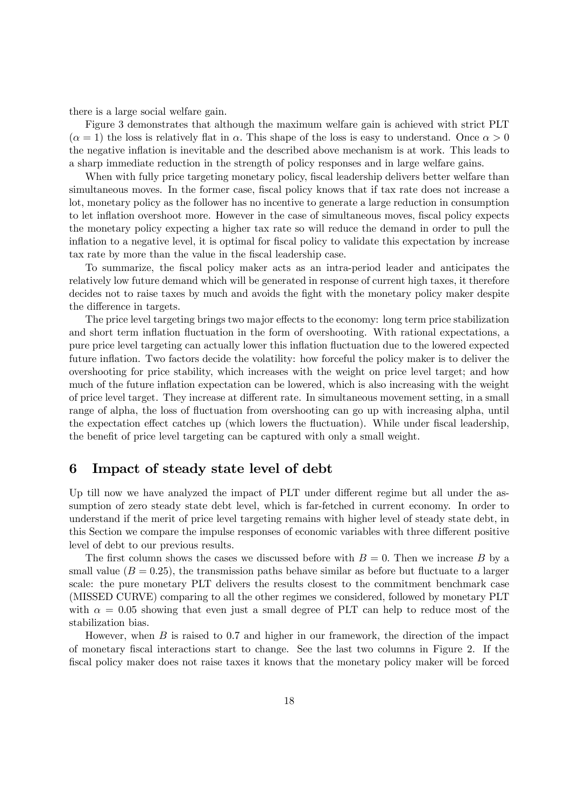there is a large social welfare gain.

Figure 3 demonstrates that although the maximum welfare gain is achieved with strict PLT  $(\alpha = 1)$  the loss is relatively flat in  $\alpha$ . This shape of the loss is easy to understand. Once  $\alpha > 0$ the negative inflation is inevitable and the described above mechanism is at work. This leads to a sharp immediate reduction in the strength of policy responses and in large welfare gains.

When with fully price targeting monetary policy, fiscal leadership delivers better welfare than simultaneous moves. In the former case, fiscal policy knows that if tax rate does not increase a lot, monetary policy as the follower has no incentive to generate a large reduction in consumption to let inflation overshoot more. However in the case of simultaneous moves, fiscal policy expects the monetary policy expecting a higher tax rate so will reduce the demand in order to pull the inflation to a negative level, it is optimal for fiscal policy to validate this expectation by increase tax rate by more than the value in the fiscal leadership case.

To summarize, the fiscal policy maker acts as an intra-period leader and anticipates the relatively low future demand which will be generated in response of current high taxes, it therefore decides not to raise taxes by much and avoids the fight with the monetary policy maker despite the difference in targets.

The price level targeting brings two major effects to the economy: long term price stabilization and short term inflation fluctuation in the form of overshooting. With rational expectations, a pure price level targeting can actually lower this inflation fluctuation due to the lowered expected future inflation. Two factors decide the volatility: how forceful the policy maker is to deliver the overshooting for price stability, which increases with the weight on price level target; and how much of the future inflation expectation can be lowered, which is also increasing with the weight of price level target. They increase at different rate. In simultaneous movement setting, in a small range of alpha, the loss of fluctuation from overshooting can go up with increasing alpha, until the expectation effect catches up (which lowers the fluctuation). While under fiscal leadership, the benefit of price level targeting can be captured with only a small weight.

## 6 Impact of steady state level of debt

Up till now we have analyzed the impact of PLT under different regime but all under the assumption of zero steady state debt level, which is far-fetched in current economy. In order to understand if the merit of price level targeting remains with higher level of steady state debt, in this Section we compare the impulse responses of economic variables with three different positive level of debt to our previous results.

The first column shows the cases we discussed before with  $B = 0$ . Then we increase B by a small value  $(B = 0.25)$ , the transmission paths behave similar as before but fluctuate to a larger scale: the pure monetary PLT delivers the results closest to the commitment benchmark case (MISSED CURVE) comparing to all the other regimes we considered, followed by monetary PLT with  $\alpha = 0.05$  showing that even just a small degree of PLT can help to reduce most of the stabilization bias.

However, when  $B$  is raised to 0.7 and higher in our framework, the direction of the impact of monetary fiscal interactions start to change. See the last two columns in Figure 2. If the fiscal policy maker does not raise taxes it knows that the monetary policy maker will be forced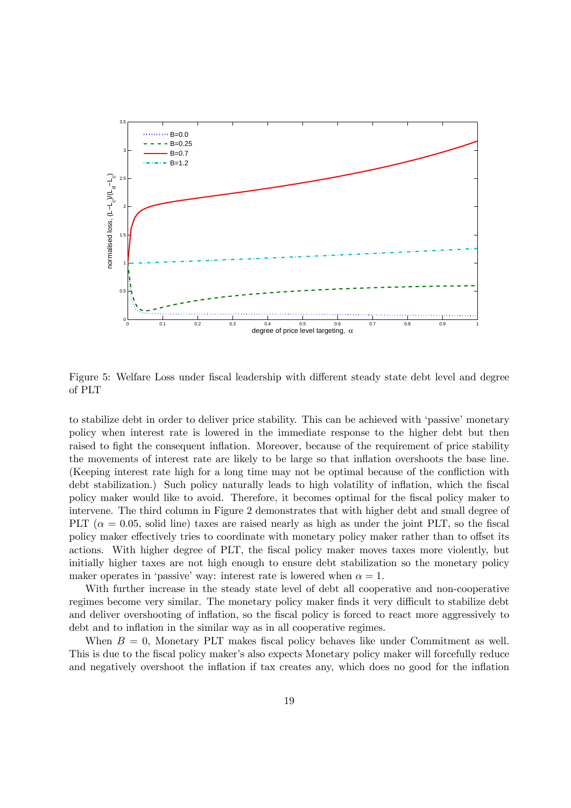

Figure 5: Welfare Loss under fiscal leadership with different steady state debt level and degree of PLT

to stabilize debt in order to deliver price stability. This can be achieved with 'passive' monetary policy when interest rate is lowered in the immediate response to the higher debt but then raised to fight the consequent inflation. Moreover, because of the requirement of price stability the movements of interest rate are likely to be large so that inflation overshoots the base line. (Keeping interest rate high for a long time may not be optimal because of the confliction with debt stabilization.) Such policy naturally leads to high volatility of inflation, which the fiscal policy maker would like to avoid. Therefore, it becomes optimal for the fiscal policy maker to intervene. The third column in Figure 2 demonstrates that with higher debt and small degree of PLT ( $\alpha = 0.05$ , solid line) taxes are raised nearly as high as under the joint PLT, so the fiscal policy maker effectively tries to coordinate with monetary policy maker rather than to offset its actions. With higher degree of PLT, the fiscal policy maker moves taxes more violently, but initially higher taxes are not high enough to ensure debt stabilization so the monetary policy maker operates in 'passive' way: interest rate is lowered when  $\alpha = 1$ .

With further increase in the steady state level of debt all cooperative and non-cooperative regimes become very similar. The monetary policy maker finds it very difficult to stabilize debt and deliver overshooting of inflation, so the fiscal policy is forced to react more aggressively to debt and to inflation in the similar way as in all cooperative regimes.

When  $B = 0$ , Monetary PLT makes fiscal policy behaves like under Commitment as well. This is due to the fiscal policy maker's also expects Monetary policy maker will forcefully reduce and negatively overshoot the inflation if tax creates any, which does no good for the inflation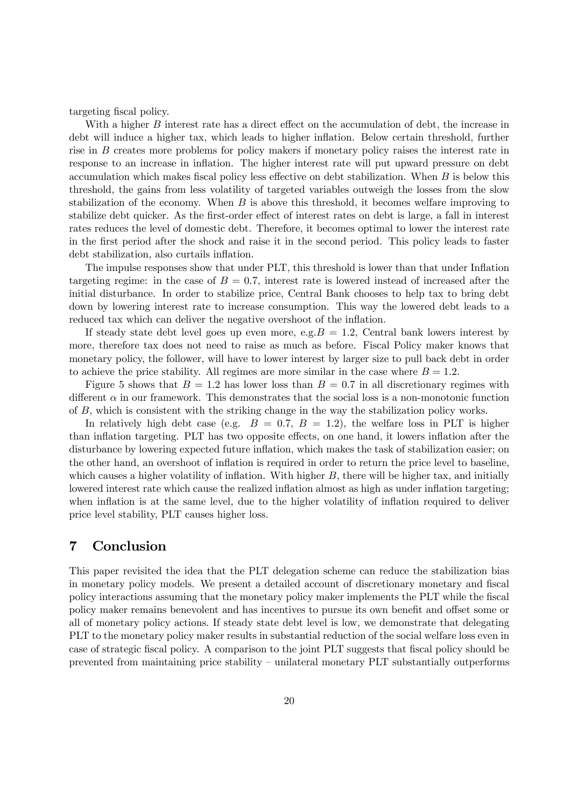targeting fiscal policy.

With a higher  $B$  interest rate has a direct effect on the accumulation of debt, the increase in debt will induce a higher tax, which leads to higher inflation. Below certain threshold, further rise in  $B$  creates more problems for policy makers if monetary policy raises the interest rate in response to an increase in inflation. The higher interest rate will put upward pressure on debt accumulation which makes fiscal policy less effective on debt stabilization. When  $B$  is below this threshold, the gains from less volatility of targeted variables outweigh the losses from the slow stabilization of the economy. When  $B$  is above this threshold, it becomes welfare improving to stabilize debt quicker. As the first-order effect of interest rates on debt is large, a fall in interest rates reduces the level of domestic debt. Therefore, it becomes optimal to lower the interest rate in the first period after the shock and raise it in the second period. This policy leads to faster debt stabilization, also curtails inflation.

The impulse responses show that under PLT, this threshold is lower than that under Inflation targeting regime: in the case of  $B = 0.7$ , interest rate is lowered instead of increased after the initial disturbance. In order to stabilize price, Central Bank chooses to help tax to bring debt down by lowering interest rate to increase consumption. This way the lowered debt leads to a reduced tax which can deliver the negative overshoot of the inflation.

If steady state debt level goes up even more, e.g.  $B = 1.2$ , Central bank lowers interest by more, therefore tax does not need to raise as much as before. Fiscal Policy maker knows that monetary policy, the follower, will have to lower interest by larger size to pull back debt in order to achieve the price stability. All regimes are more similar in the case where  $B = 1.2$ .

Figure 5 shows that  $B = 1.2$  has lower loss than  $B = 0.7$  in all discretionary regimes with different  $\alpha$  in our framework. This demonstrates that the social loss is a non-monotonic function of  $B$ , which is consistent with the striking change in the way the stabilization policy works.

In relatively high debt case (e.g.  $B = 0.7, B = 1.2$ ), the welfare loss in PLT is higher than inflation targeting. PLT has two opposite effects, on one hand, it lowers inflation after the disturbance by lowering expected future inflation, which makes the task of stabilization easier; on the other hand, an overshoot of inflation is required in order to return the price level to baseline, which causes a higher volatility of inflation. With higher  $B$ , there will be higher tax, and initially lowered interest rate which cause the realized inflation almost as high as under inflation targeting; when inflation is at the same level, due to the higher volatility of inflation required to deliver price level stability, PLT causes higher loss.

## 7 Conclusion

This paper revisited the idea that the PLT delegation scheme can reduce the stabilization bias in monetary policy models. We present a detailed account of discretionary monetary and fiscal policy interactions assuming that the monetary policy maker implements the PLT while the fiscal policy maker remains benevolent and has incentives to pursue its own benefit and offset some or all of monetary policy actions. If steady state debt level is low, we demonstrate that delegating PLT to the monetary policy maker results in substantial reduction of the social welfare loss even in case of strategic fiscal policy. A comparison to the joint PLT suggests that fiscal policy should be prevented from maintaining price stability — unilateral monetary PLT substantially outperforms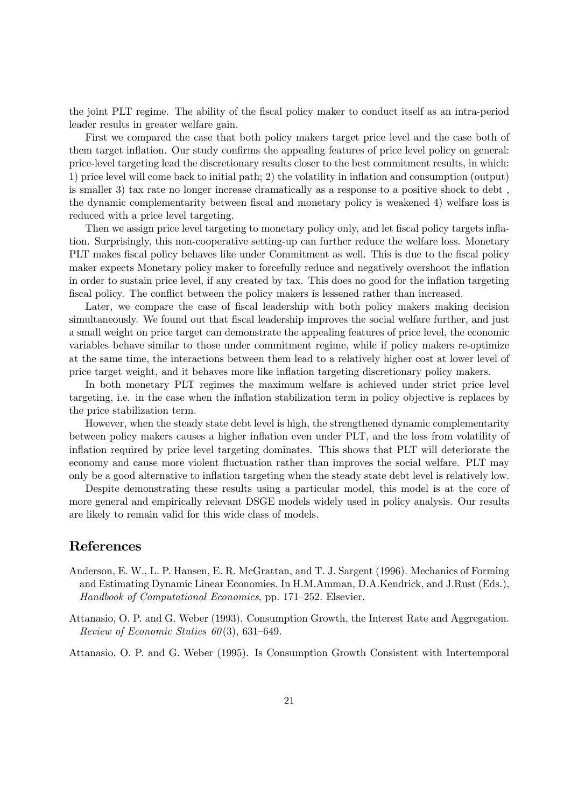the joint PLT regime. The ability of the fiscal policy maker to conduct itself as an intra-period leader results in greater welfare gain.

First we compared the case that both policy makers target price level and the case both of them target inflation. Our study confirms the appealing features of price level policy on general: price-level targeting lead the discretionary results closer to the best commitment results, in which: 1) price level will come back to initial path; 2) the volatility in inflation and consumption (output) is smaller 3) tax rate no longer increase dramatically as a response to a positive shock to debt , the dynamic complementarity between fiscal and monetary policy is weakened 4) welfare loss is reduced with a price level targeting.

Then we assign price level targeting to monetary policy only, and let fiscal policy targets inflation. Surprisingly, this non-cooperative setting-up can further reduce the welfare loss. Monetary PLT makes fiscal policy behaves like under Commitment as well. This is due to the fiscal policy maker expects Monetary policy maker to forcefully reduce and negatively overshoot the inflation in order to sustain price level, if any created by tax. This does no good for the inflation targeting fiscal policy. The conflict between the policy makers is lessened rather than increased.

Later, we compare the case of fiscal leadership with both policy makers making decision simultaneously. We found out that fiscal leadership improves the social welfare further, and just a small weight on price target can demonstrate the appealing features of price level, the economic variables behave similar to those under commitment regime, while if policy makers re-optimize at the same time, the interactions between them lead to a relatively higher cost at lower level of price target weight, and it behaves more like inflation targeting discretionary policy makers.

In both monetary PLT regimes the maximum welfare is achieved under strict price level targeting, i.e. in the case when the inflation stabilization term in policy objective is replaces by the price stabilization term.

However, when the steady state debt level is high, the strengthened dynamic complementarity between policy makers causes a higher inflation even under PLT, and the loss from volatility of inflation required by price level targeting dominates. This shows that PLT will deteriorate the economy and cause more violent fluctuation rather than improves the social welfare. PLT may only be a good alternative to inflation targeting when the steady state debt level is relatively low.

Despite demonstrating these results using a particular model, this model is at the core of more general and empirically relevant DSGE models widely used in policy analysis. Our results are likely to remain valid for this wide class of models.

### References

- Anderson, E. W., L. P. Hansen, E. R. McGrattan, and T. J. Sargent (1996). Mechanics of Forming and Estimating Dynamic Linear Economies. In H.M.Amman, D.A.Kendrick, and J.Rust (Eds.), Handbook of Computational Economics, pp. 171—252. Elsevier.
- Attanasio, O. P. and G. Weber (1993). Consumption Growth, the Interest Rate and Aggregation. Review of Economic Stuties 60(3), 631—649.

Attanasio, O. P. and G. Weber (1995). Is Consumption Growth Consistent with Intertemporal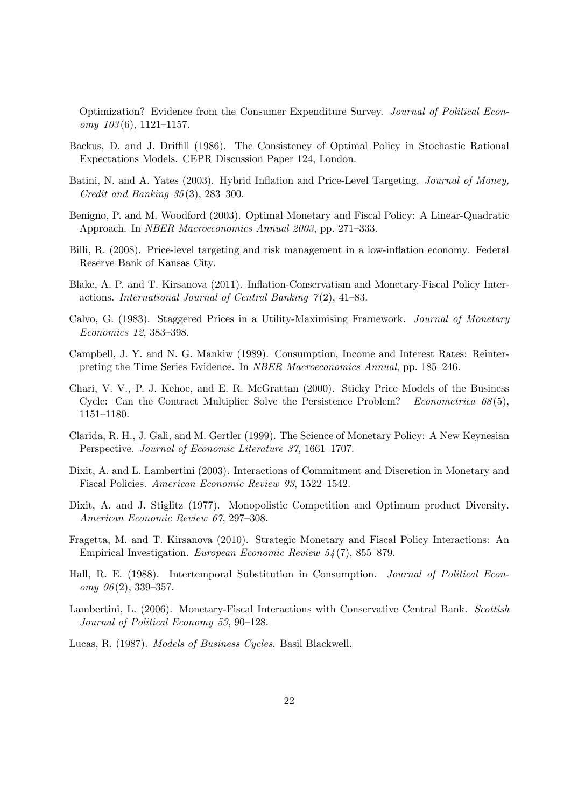Optimization? Evidence from the Consumer Expenditure Survey. Journal of Political Econ $omy \; 103(6), \; 1121-1157.$ 

- Backus, D. and J. Driffill (1986). The Consistency of Optimal Policy in Stochastic Rational Expectations Models. CEPR Discussion Paper 124, London.
- Batini, N. and A. Yates (2003). Hybrid Inflation and Price-Level Targeting. Journal of Money, Credit and Banking 35 (3), 283—300.
- Benigno, P. and M. Woodford (2003). Optimal Monetary and Fiscal Policy: A Linear-Quadratic Approach. In NBER Macroeconomics Annual 2003, pp. 271—333.
- Billi, R. (2008). Price-level targeting and risk management in a low-inflation economy. Federal Reserve Bank of Kansas City.
- Blake, A. P. and T. Kirsanova (2011). Inflation-Conservatism and Monetary-Fiscal Policy Interactions. International Journal of Central Banking  $\gamma(2)$ , 41–83.
- Calvo, G. (1983). Staggered Prices in a Utility-Maximising Framework. Journal of Monetary Economics 12, 383—398.
- Campbell, J. Y. and N. G. Mankiw (1989). Consumption, Income and Interest Rates: Reinterpreting the Time Series Evidence. In NBER Macroeconomics Annual, pp. 185—246.
- Chari, V. V., P. J. Kehoe, and E. R. McGrattan (2000). Sticky Price Models of the Business Cycle: Can the Contract Multiplier Solve the Persistence Problem? Econometrica  $68(5)$ , 1151—1180.
- Clarida, R. H., J. Gali, and M. Gertler (1999). The Science of Monetary Policy: A New Keynesian Perspective. Journal of Economic Literature 37, 1661—1707.
- Dixit, A. and L. Lambertini (2003). Interactions of Commitment and Discretion in Monetary and Fiscal Policies. American Economic Review 93, 1522—1542.
- Dixit, A. and J. Stiglitz (1977). Monopolistic Competition and Optimum product Diversity. American Economic Review 67, 297—308.
- Fragetta, M. and T. Kirsanova (2010). Strategic Monetary and Fiscal Policy Interactions: An Empirical Investigation. European Economic Review 54 (7), 855—879.
- Hall, R. E. (1988). Intertemporal Substitution in Consumption. Journal of Political Econ $omy \; 96(2), \; 339-357.$
- Lambertini, L. (2006). Monetary-Fiscal Interactions with Conservative Central Bank. Scottish Journal of Political Economy 53, 90—128.
- Lucas, R. (1987). Models of Business Cycles. Basil Blackwell.